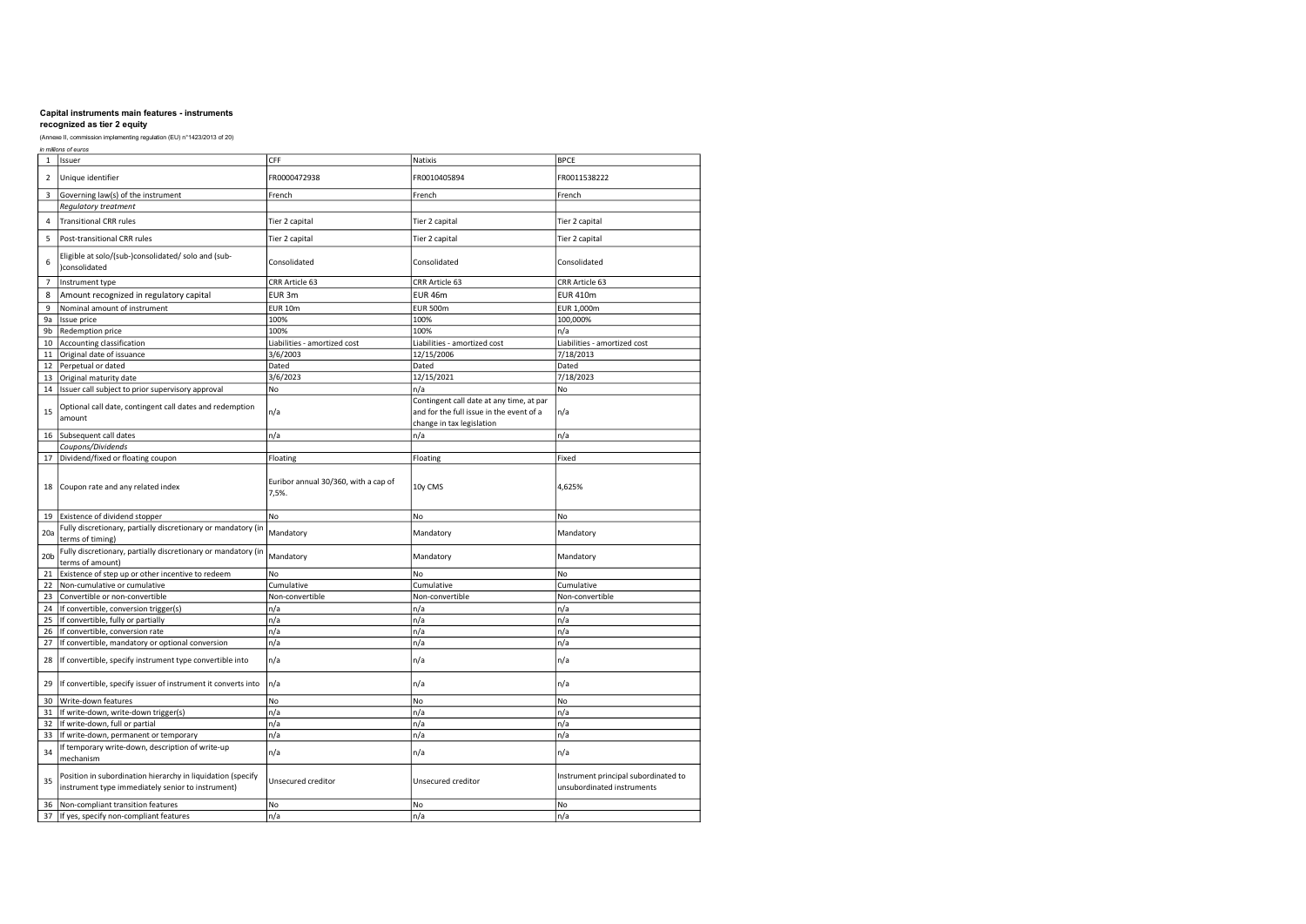| in millions of euros |                 |                                                                                                                  |                                               |                                                                                                                   |                                                                    |  |  |
|----------------------|-----------------|------------------------------------------------------------------------------------------------------------------|-----------------------------------------------|-------------------------------------------------------------------------------------------------------------------|--------------------------------------------------------------------|--|--|
|                      | $\mathbf{1}$    | Issuer                                                                                                           | CFF                                           | Natixis                                                                                                           | <b>BPCE</b>                                                        |  |  |
|                      | $\overline{2}$  | Unique identifier                                                                                                | FR0000472938                                  | FR0010405894                                                                                                      | FR0011538222                                                       |  |  |
|                      | 3               | Governing law(s) of the instrument                                                                               | French                                        | French                                                                                                            | French                                                             |  |  |
|                      |                 | Regulatory treatment                                                                                             |                                               |                                                                                                                   |                                                                    |  |  |
|                      | 4               | <b>Transitional CRR rules</b>                                                                                    | Tier 2 capital                                | Tier 2 capital                                                                                                    | Tier 2 capital                                                     |  |  |
|                      | 5               | Post-transitional CRR rules                                                                                      | Tier 2 capital                                | Tier 2 capital                                                                                                    | Tier 2 capital                                                     |  |  |
|                      | 6               | Eligible at solo/(sub-)consolidated/ solo and (sub-<br>)consolidated                                             | Consolidated                                  | Consolidated                                                                                                      | Consolidated                                                       |  |  |
|                      | $\overline{7}$  | Instrument type                                                                                                  | CRR Article 63                                | CRR Article 63                                                                                                    | CRR Article 63                                                     |  |  |
|                      | 8               | Amount recognized in regulatory capital                                                                          | EUR 3m                                        | EUR 46m                                                                                                           | <b>EUR 410m</b>                                                    |  |  |
|                      | 9               | Nominal amount of instrument                                                                                     | <b>EUR 10m</b>                                | <b>EUR 500m</b>                                                                                                   | EUR 1,000m                                                         |  |  |
|                      | 9a              | Issue price                                                                                                      | 100%                                          | 100%                                                                                                              | 100,000%                                                           |  |  |
|                      | 9b              | Redemption price                                                                                                 | 100%                                          | 100%                                                                                                              | n/a                                                                |  |  |
|                      | 10              | Accounting classification                                                                                        | Liabilities - amortized cost                  | Liabilities - amortized cost                                                                                      | Liabilities - amortized cost                                       |  |  |
|                      | 11              | Original date of issuance                                                                                        | 3/6/2003                                      | 12/15/2006                                                                                                        | 7/18/2013                                                          |  |  |
|                      | 12              | Perpetual or dated                                                                                               | Dated                                         | Dated                                                                                                             | Dated                                                              |  |  |
|                      | 13              |                                                                                                                  | 3/6/2023                                      | 12/15/2021                                                                                                        | 7/18/2023                                                          |  |  |
|                      |                 | Original maturity date                                                                                           |                                               |                                                                                                                   |                                                                    |  |  |
|                      | 14              | Issuer call subject to prior supervisory approval                                                                | No                                            | n/a                                                                                                               | No                                                                 |  |  |
|                      | 15              | Optional call date, contingent call dates and redemption<br>amount                                               | n/a                                           | Contingent call date at any time, at par<br>and for the full issue in the event of a<br>change in tax legislation | n/a                                                                |  |  |
|                      | 16              | Subsequent call dates                                                                                            | n/a                                           | n/a                                                                                                               | n/a                                                                |  |  |
|                      |                 | Coupons/Dividends                                                                                                |                                               |                                                                                                                   |                                                                    |  |  |
|                      | 17              | Dividend/fixed or floating coupon                                                                                | Floating                                      | Floating                                                                                                          | Fixed                                                              |  |  |
|                      | 18              | Coupon rate and any related index                                                                                | Euribor annual 30/360, with a cap of<br>7,5%. | 10y CMS                                                                                                           | 4,625%                                                             |  |  |
|                      | 19              | Existence of dividend stopper                                                                                    | No                                            | No                                                                                                                | <b>No</b>                                                          |  |  |
|                      | 20a             | Fully discretionary, partially discretionary or mandatory (in<br>terms of timing)                                | Mandatory                                     | Mandatory                                                                                                         | Mandatory                                                          |  |  |
|                      | 20 <sub>b</sub> | Fully discretionary, partially discretionary or mandatory (in<br>terms of amount)                                | Mandatory                                     | Mandatory                                                                                                         | Mandatory                                                          |  |  |
|                      | 21              | Existence of step up or other incentive to redeem                                                                | No                                            | <b>No</b>                                                                                                         | No                                                                 |  |  |
|                      | 22              | Non-cumulative or cumulative                                                                                     | Cumulative                                    | Cumulative                                                                                                        | Cumulative                                                         |  |  |
|                      | 23              | Convertible or non-convertible                                                                                   | Non-convertible                               | Non-convertible                                                                                                   | Non-convertible                                                    |  |  |
|                      | 24              | If convertible, conversion trigger(s)                                                                            | n/a                                           | n/a                                                                                                               | n/a                                                                |  |  |
|                      | 25              | If convertible, fully or partially                                                                               | n/a                                           | n/a                                                                                                               | n/a                                                                |  |  |
|                      | 26              | If convertible, conversion rate                                                                                  | n/a                                           | n/a                                                                                                               | n/a                                                                |  |  |
|                      | 27              | If convertible, mandatory or optional conversion                                                                 | n/a                                           | n/a                                                                                                               | n/a                                                                |  |  |
|                      | 28              | If convertible, specify instrument type convertible into                                                         | n/a                                           | n/a                                                                                                               | n/a                                                                |  |  |
|                      | 29              | If convertible, specify issuer of instrument it converts into                                                    | n/a                                           | n/a                                                                                                               | n/a                                                                |  |  |
|                      | 30              | Write-down features                                                                                              | No                                            | No                                                                                                                | No                                                                 |  |  |
|                      | 31              | If write-down, write-down trigger(s)                                                                             | n/a                                           | n/a                                                                                                               | n/a                                                                |  |  |
|                      | 32              | If write-down, full or partial                                                                                   | n/a                                           | n/a                                                                                                               | n/a                                                                |  |  |
|                      | 33              | If write-down, permanent or temporary                                                                            | n/a                                           | n/a                                                                                                               | n/a                                                                |  |  |
|                      | 34              | If temporary write-down, description of write-up<br>mechanism                                                    | n/a                                           | n/a                                                                                                               | n/a                                                                |  |  |
|                      | 35              | Position in subordination hierarchy in liquidation (specify<br>instrument type immediately senior to instrument) | Unsecured creditor                            | Unsecured creditor                                                                                                | Instrument principal subordinated to<br>unsubordinated instruments |  |  |
|                      | 36              | Non-compliant transition features                                                                                | No                                            | No                                                                                                                | No                                                                 |  |  |
|                      | 37              | If yes, specify non-compliant features                                                                           | n/a                                           | n/a                                                                                                               | n/a                                                                |  |  |
|                      |                 |                                                                                                                  |                                               |                                                                                                                   |                                                                    |  |  |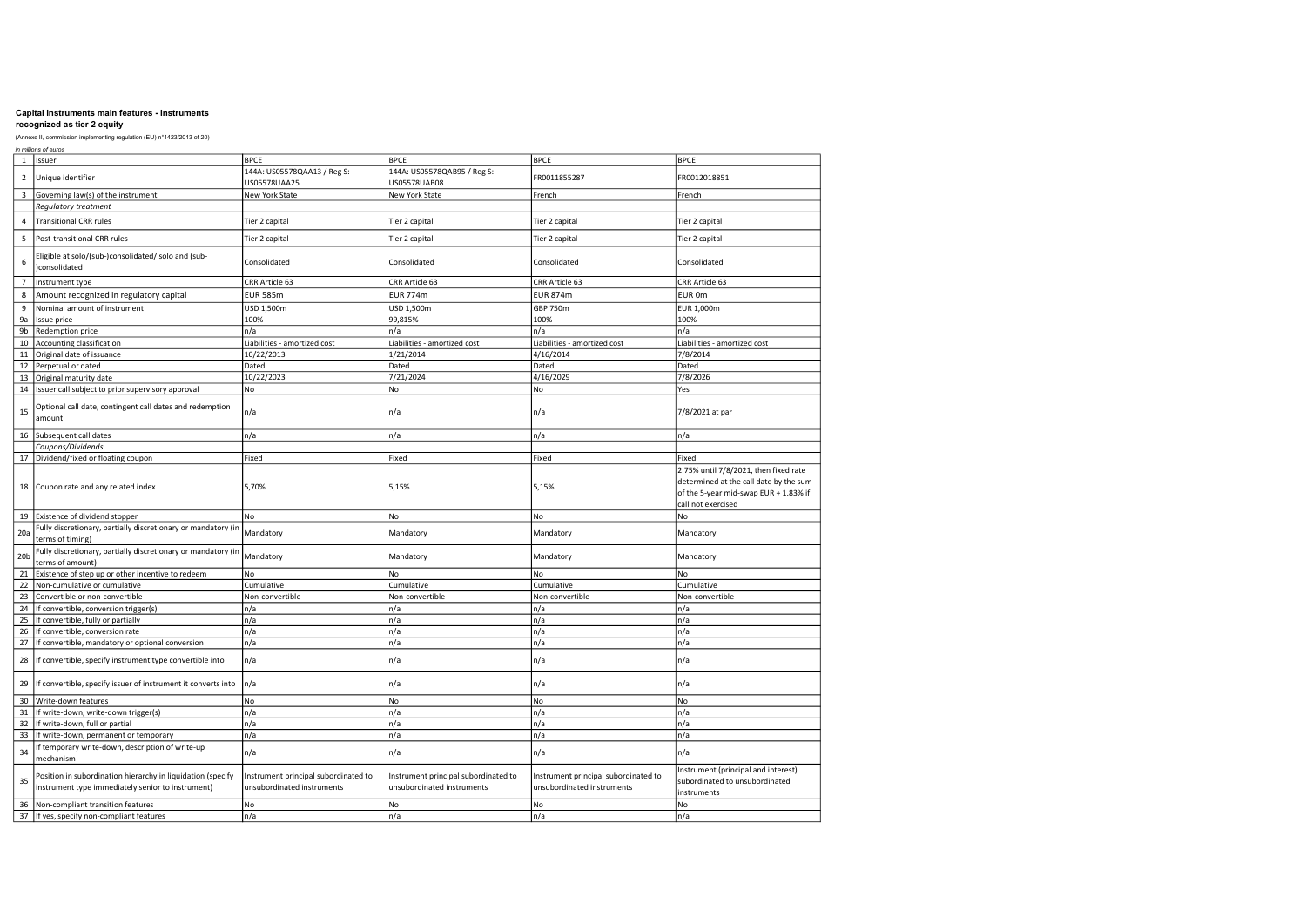## recognized as tier 2 equity

|                         | in millions of euros                                                                                             |                                                                    |                                                                    |                                                                    |                                                                                                                                                |  |  |
|-------------------------|------------------------------------------------------------------------------------------------------------------|--------------------------------------------------------------------|--------------------------------------------------------------------|--------------------------------------------------------------------|------------------------------------------------------------------------------------------------------------------------------------------------|--|--|
| 1                       | <b>Issuer</b>                                                                                                    | <b>BPCE</b>                                                        | <b>BPCE</b>                                                        | <b>BPCE</b>                                                        | <b>BPCE</b>                                                                                                                                    |  |  |
| $\overline{2}$          | Unique identifier                                                                                                | 144A: US05578QAA13 / Reg S:<br>US05578UAA25                        | 144A: US05578QAB95 / Reg S:<br>US05578UAB08                        | FR0011855287                                                       | FR0012018851                                                                                                                                   |  |  |
| $\overline{\mathbf{3}}$ | Governing law(s) of the instrument                                                                               | New York State                                                     | New York State                                                     | French                                                             | French                                                                                                                                         |  |  |
|                         | Regulatory treatment                                                                                             |                                                                    |                                                                    |                                                                    |                                                                                                                                                |  |  |
| 4                       | <b>Transitional CRR rules</b>                                                                                    | Tier 2 capital                                                     | Tier 2 capital                                                     | Tier 2 capital                                                     | Tier 2 capital                                                                                                                                 |  |  |
| 5                       | Post-transitional CRR rules                                                                                      | Tier 2 capital                                                     | Tier 2 capital                                                     | Tier 2 capital                                                     | Tier 2 capital                                                                                                                                 |  |  |
| 6                       | Eligible at solo/(sub-)consolidated/ solo and (sub-<br>)consolidated                                             | Consolidated                                                       | Consolidated                                                       | Consolidated                                                       | Consolidated                                                                                                                                   |  |  |
| $\overline{7}$          | Instrument type                                                                                                  | CRR Article 63                                                     | CRR Article 63                                                     | CRR Article 63                                                     | CRR Article 63                                                                                                                                 |  |  |
| 8                       | Amount recognized in regulatory capital                                                                          | <b>EUR 585m</b>                                                    | <b>EUR 774m</b>                                                    | <b>EUR 874m</b>                                                    | EUR 0m                                                                                                                                         |  |  |
| $\overline{9}$          | Nominal amount of instrument                                                                                     | USD 1,500m                                                         | USD 1,500m                                                         | <b>GBP 750m</b>                                                    | EUR 1,000m                                                                                                                                     |  |  |
| 9a                      | Issue price                                                                                                      | 100%                                                               | 99,815%                                                            | 100%                                                               | 100%                                                                                                                                           |  |  |
| 9b                      | Redemption price                                                                                                 | n/a                                                                | n/a                                                                | n/a                                                                | n/a                                                                                                                                            |  |  |
| 10                      | Accounting classification                                                                                        | Liabilities - amortized cost                                       | Liabilities - amortized cost                                       | Liabilities - amortized cost                                       | Liabilities - amortized cost                                                                                                                   |  |  |
| 11                      | Original date of issuance                                                                                        | 10/22/2013                                                         | 1/21/2014                                                          | 4/16/2014                                                          | 7/8/2014                                                                                                                                       |  |  |
| 12                      | Perpetual or dated                                                                                               | Dated                                                              | Dated                                                              | Dated                                                              | Dated                                                                                                                                          |  |  |
| 13                      | Original maturity date                                                                                           | 10/22/2023                                                         | 7/21/2024                                                          | 4/16/2029                                                          | 7/8/2026                                                                                                                                       |  |  |
| 14                      | Issuer call subject to prior supervisory approval                                                                | No                                                                 | No                                                                 | No                                                                 | Yes                                                                                                                                            |  |  |
| 15                      | Optional call date, contingent call dates and redemption<br>amount                                               | n/a                                                                | n/a                                                                | n/a                                                                | 7/8/2021 at par                                                                                                                                |  |  |
| 16                      | Subsequent call dates                                                                                            | n/a                                                                | n/a                                                                | n/a                                                                | n/a                                                                                                                                            |  |  |
|                         | Coupons/Dividends                                                                                                |                                                                    |                                                                    |                                                                    |                                                                                                                                                |  |  |
| 17                      | Dividend/fixed or floating coupon                                                                                | Fixed                                                              | Fixed                                                              | Fixed                                                              | Fixed                                                                                                                                          |  |  |
| 18                      | Coupon rate and any related index                                                                                | 5,70%                                                              | 5,15%                                                              | 5,15%                                                              | 2.75% until 7/8/2021, then fixed rate<br>determined at the call date by the sum<br>of the 5-year mid-swap EUR + 1.83% if<br>call not exercised |  |  |
|                         | 19 Existence of dividend stopper                                                                                 | No                                                                 | No                                                                 | No                                                                 | No.                                                                                                                                            |  |  |
| 20a                     | Fully discretionary, partially discretionary or mandatory (in<br>terms of timing)                                | Mandatory                                                          | Mandatory                                                          | Mandatory                                                          | Mandatory                                                                                                                                      |  |  |
| 20 <sub>b</sub>         | Fully discretionary, partially discretionary or mandatory (in<br>terms of amount)                                | Mandatory                                                          | Mandatory                                                          | Mandatory                                                          | Mandatory                                                                                                                                      |  |  |
| 21                      | Existence of step up or other incentive to redeem                                                                | No                                                                 | No                                                                 | No                                                                 | No                                                                                                                                             |  |  |
| 22                      | Non-cumulative or cumulative                                                                                     | Cumulative                                                         | Cumulative                                                         | Cumulative                                                         | Cumulative                                                                                                                                     |  |  |
| 23                      | Convertible or non-convertible                                                                                   | Non-convertible                                                    | Non-convertible                                                    | Non-convertible                                                    | Non-convertible                                                                                                                                |  |  |
| 24                      | If convertible, conversion trigger(s)                                                                            | n/a                                                                | n/a                                                                | n/a                                                                | n/a                                                                                                                                            |  |  |
| 25                      | If convertible, fully or partially                                                                               | n/a                                                                | n/a                                                                | n/a                                                                | n/a                                                                                                                                            |  |  |
| 26                      | If convertible, conversion rate                                                                                  | n/a                                                                | n/a                                                                | n/a                                                                | n/a                                                                                                                                            |  |  |
| 27                      | If convertible, mandatory or optional conversion                                                                 | n/a                                                                | n/a                                                                | n/a                                                                | n/a                                                                                                                                            |  |  |
| 28                      | If convertible, specify instrument type convertible into                                                         | n/a                                                                | n/a                                                                | n/a                                                                | n/a                                                                                                                                            |  |  |
| 29                      | If convertible, specify issuer of instrument it converts into                                                    | n/a                                                                | n/a                                                                | n/a                                                                | n/a                                                                                                                                            |  |  |
| 30                      | Write-down features                                                                                              | No                                                                 | No                                                                 | No                                                                 | No                                                                                                                                             |  |  |
| 31                      | If write-down, write-down trigger(s)                                                                             | n/a                                                                | n/a                                                                | n/a                                                                | n/a                                                                                                                                            |  |  |
| 32                      | If write-down, full or partial                                                                                   | n/a                                                                | n/a                                                                | n/a                                                                | n/a                                                                                                                                            |  |  |
| 33                      | If write-down, permanent or temporary                                                                            | n/a                                                                | n/a                                                                | n/a                                                                | n/a                                                                                                                                            |  |  |
| 34                      | If temporary write-down, description of write-up<br>mechanism                                                    | n/a                                                                | n/a                                                                | n/a                                                                | n/a                                                                                                                                            |  |  |
| 35                      | Position in subordination hierarchy in liquidation (specify<br>instrument type immediately senior to instrument) | Instrument principal subordinated to<br>unsubordinated instruments | Instrument principal subordinated to<br>unsubordinated instruments | Instrument principal subordinated to<br>unsubordinated instruments | Instrument (principal and interest)<br>subordinated to unsubordinated<br>instruments                                                           |  |  |
| 36                      | Non-compliant transition features                                                                                | No                                                                 | No                                                                 | No                                                                 | No                                                                                                                                             |  |  |
| 37                      | If yes, specify non-compliant features                                                                           | n/a                                                                | n/a                                                                | n/a                                                                | n/a                                                                                                                                            |  |  |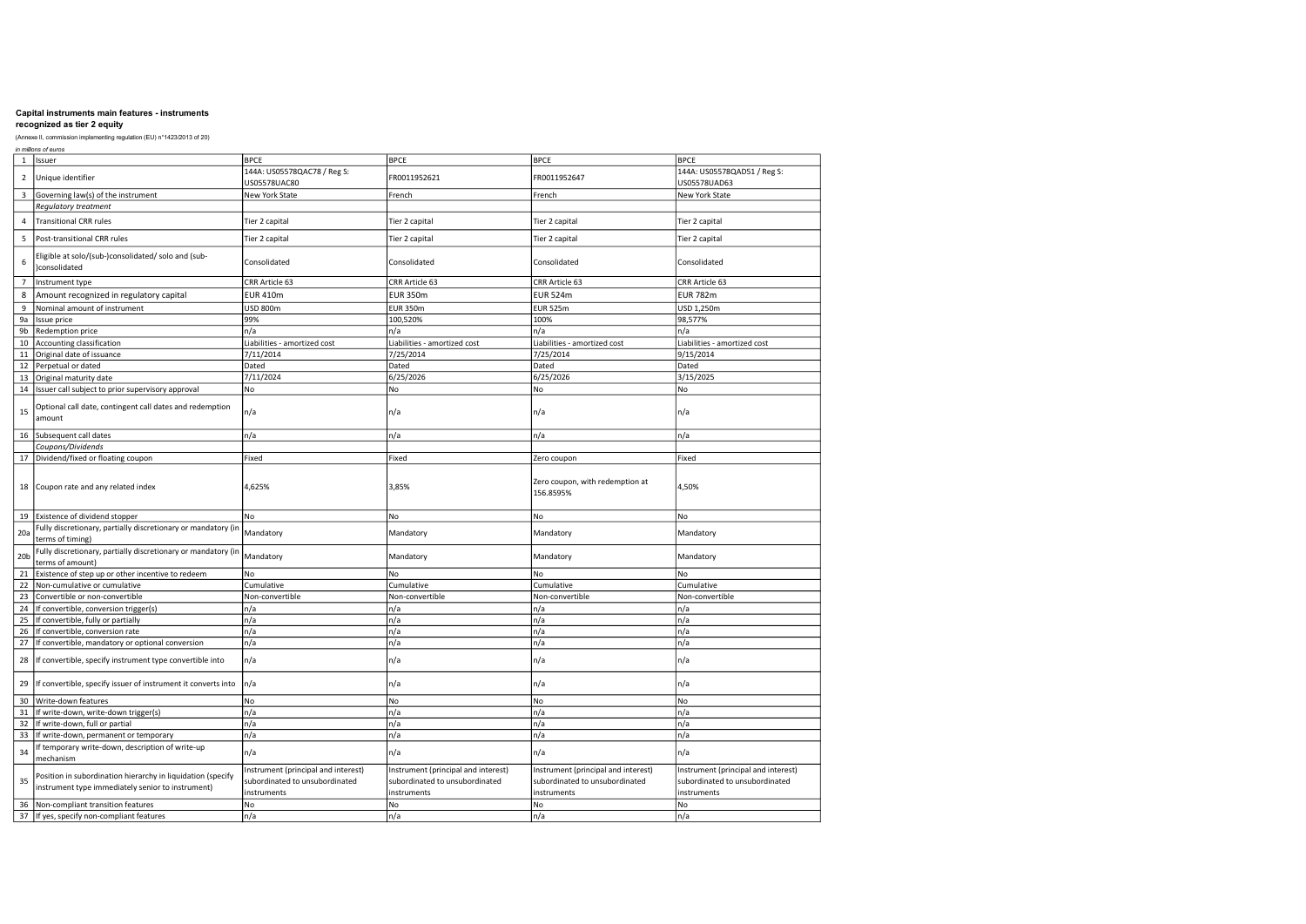## recognized as tier 2 equity

|                 | in millions of euros                                                                                             |                                                                                      |                                                                                      |                                                                                      |                                                                                      |  |  |
|-----------------|------------------------------------------------------------------------------------------------------------------|--------------------------------------------------------------------------------------|--------------------------------------------------------------------------------------|--------------------------------------------------------------------------------------|--------------------------------------------------------------------------------------|--|--|
| $\mathbf{1}$    | <b>lissuer</b>                                                                                                   | <b>BPCE</b>                                                                          | <b>BPCE</b>                                                                          | <b>BPCE</b>                                                                          | <b>BPCE</b>                                                                          |  |  |
| $\overline{2}$  | Unique identifier                                                                                                | 144A: US05578QAC78 / Reg S:<br>US05578UAC80                                          | FR0011952621                                                                         | FR0011952647                                                                         | 144A: US05578QAD51 / Reg S:<br>US05578UAD63                                          |  |  |
| 3               | Governing law(s) of the instrument                                                                               | New York State                                                                       | French                                                                               | French                                                                               | New York State                                                                       |  |  |
|                 | <b>Requlatory treatment</b>                                                                                      |                                                                                      |                                                                                      |                                                                                      |                                                                                      |  |  |
| 4               | <b>Transitional CRR rules</b>                                                                                    | Tier 2 capital                                                                       | Tier 2 capital                                                                       | Tier 2 capital                                                                       | Tier 2 capital                                                                       |  |  |
| 5               | Post-transitional CRR rules                                                                                      | Tier 2 capital                                                                       | Tier 2 capital                                                                       | Tier 2 capital                                                                       | Tier 2 capital                                                                       |  |  |
| 6               | Eligible at solo/(sub-)consolidated/ solo and (sub-<br>)consolidated                                             | Consolidated                                                                         | Consolidated                                                                         | Consolidated                                                                         | Consolidated                                                                         |  |  |
| $\overline{7}$  | Instrument type                                                                                                  | CRR Article 63                                                                       | CRR Article 63                                                                       | CRR Article 63                                                                       | CRR Article 63                                                                       |  |  |
| 8               | Amount recognized in regulatory capital                                                                          | <b>EUR 410m</b>                                                                      | <b>EUR 350m</b>                                                                      | <b>EUR 524m</b>                                                                      | <b>EUR 782m</b>                                                                      |  |  |
| $\mathsf g$     | Nominal amount of instrument                                                                                     | <b>USD 800m</b>                                                                      | <b>EUR 350m</b>                                                                      | <b>EUR 525m</b>                                                                      | USD 1,250m                                                                           |  |  |
| 9a              | Issue price                                                                                                      | 99%                                                                                  | 100,520%                                                                             | 100%                                                                                 | 98,577%                                                                              |  |  |
| 9b              | Redemption price                                                                                                 | n/a                                                                                  | n/a                                                                                  | n/a                                                                                  | n/a                                                                                  |  |  |
| 10              | Accounting classification                                                                                        | Liabilities - amortized cost                                                         | Liabilities - amortized cost                                                         | Liabilities - amortized cost                                                         | Liabilities - amortized cost                                                         |  |  |
| 11              | Original date of issuance                                                                                        | 7/11/2014                                                                            | 7/25/2014                                                                            | 7/25/2014                                                                            | 9/15/2014                                                                            |  |  |
| 12              | Perpetual or dated                                                                                               | Dated                                                                                | Dated                                                                                | Dated                                                                                | Dated                                                                                |  |  |
| 13              | Original maturity date                                                                                           | 7/11/2024                                                                            | 6/25/2026                                                                            | 6/25/2026                                                                            | 3/15/2025                                                                            |  |  |
| $14\,$          | Issuer call subject to prior supervisory approval                                                                | No                                                                                   | No                                                                                   | No                                                                                   | No                                                                                   |  |  |
| 15              | Optional call date, contingent call dates and redemption<br>amount                                               | n/a                                                                                  | n/a                                                                                  | n/a                                                                                  | n/a                                                                                  |  |  |
| 16              | Subsequent call dates                                                                                            | n/a                                                                                  | n/a                                                                                  | n/a                                                                                  | n/a                                                                                  |  |  |
|                 | Coupons/Dividends                                                                                                |                                                                                      |                                                                                      |                                                                                      |                                                                                      |  |  |
| 17              | Dividend/fixed or floating coupon                                                                                | Fixed                                                                                | Fixed                                                                                | Zero coupon                                                                          | Fixed                                                                                |  |  |
| 18              | Coupon rate and any related index                                                                                | 4,625%                                                                               | 3,85%                                                                                | Zero coupon, with redemption at<br>156.8595%                                         | 4,50%                                                                                |  |  |
| 19              | Existence of dividend stopper                                                                                    | No                                                                                   | No                                                                                   | No                                                                                   | No                                                                                   |  |  |
| 20a             | Fully discretionary, partially discretionary or mandatory (in<br>terms of timing)                                | Mandatory                                                                            | Mandatory                                                                            | Mandatory                                                                            | Mandatory                                                                            |  |  |
| 20 <sub>b</sub> | Fully discretionary, partially discretionary or mandatory (in<br>terms of amount)                                | Mandatory                                                                            | Mandatory                                                                            | Mandatory                                                                            | Mandatory                                                                            |  |  |
| 21              | Existence of step up or other incentive to redeem                                                                | No                                                                                   | No                                                                                   | No                                                                                   | No                                                                                   |  |  |
| 22              | Non-cumulative or cumulative                                                                                     | Cumulative                                                                           | Cumulative                                                                           | Cumulative                                                                           | Cumulative                                                                           |  |  |
| 23              | Convertible or non-convertible                                                                                   | Non-convertible                                                                      | Non-convertible                                                                      | Non-convertible                                                                      | Non-convertible                                                                      |  |  |
| 24              | If convertible, conversion trigger(s)                                                                            | n/a                                                                                  | n/a                                                                                  | n/a                                                                                  | n/a                                                                                  |  |  |
| 25              | If convertible, fully or partially                                                                               | n/a                                                                                  | n/a                                                                                  | n/a                                                                                  | n/a                                                                                  |  |  |
| 26              | If convertible, conversion rate                                                                                  | n/a                                                                                  | n/a                                                                                  | n/a                                                                                  | n/a                                                                                  |  |  |
| 27              | If convertible, mandatory or optional conversion                                                                 | n/a                                                                                  | n/a                                                                                  | n/a                                                                                  | n/a                                                                                  |  |  |
| 28              | If convertible, specify instrument type convertible into                                                         | n/a                                                                                  | n/a                                                                                  | n/a                                                                                  | n/a                                                                                  |  |  |
| 29              | If convertible, specify issuer of instrument it converts into                                                    | n/a                                                                                  | n/a                                                                                  | n/a                                                                                  | n/a                                                                                  |  |  |
| 30              | Write-down features                                                                                              | No                                                                                   | No                                                                                   | No                                                                                   | No                                                                                   |  |  |
| 31              | If write-down, write-down trigger(s)                                                                             | n/a                                                                                  | n/a                                                                                  | n/a                                                                                  | n/a                                                                                  |  |  |
| 32              | If write-down, full or partial                                                                                   | n/a                                                                                  | n/a                                                                                  | n/a                                                                                  | n/a                                                                                  |  |  |
| 33              | If write-down, permanent or temporary                                                                            | n/a                                                                                  | n/a                                                                                  | n/a                                                                                  | n/a                                                                                  |  |  |
| 34              | If temporary write-down, description of write-up<br>mechanism                                                    | n/a                                                                                  | n/a                                                                                  | n/a                                                                                  | n/a                                                                                  |  |  |
| 35              | Position in subordination hierarchy in liquidation (specify<br>instrument type immediately senior to instrument) | Instrument (principal and interest)<br>subordinated to unsubordinated<br>instruments | Instrument (principal and interest)<br>subordinated to unsubordinated<br>instruments | Instrument (principal and interest)<br>subordinated to unsubordinated<br>instruments | Instrument (principal and interest)<br>subordinated to unsubordinated<br>instruments |  |  |
| 36              | Non-compliant transition features                                                                                | No                                                                                   | No                                                                                   | No                                                                                   | No                                                                                   |  |  |
| 37              | If yes, specify non-compliant features                                                                           | n/a                                                                                  | n/a                                                                                  | n/a                                                                                  | n/a                                                                                  |  |  |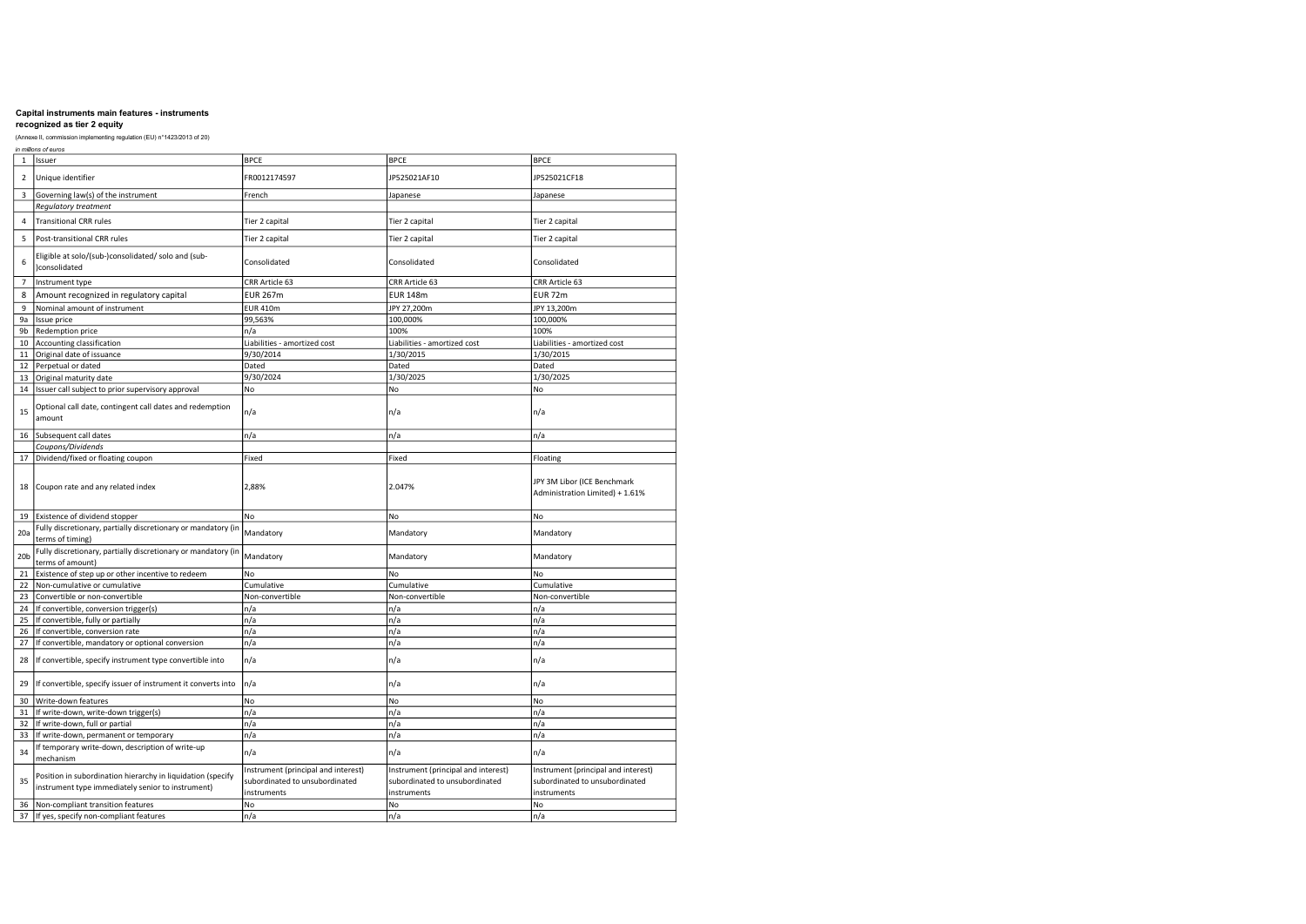## recognized as tier 2 equity

|                 | in millions of euros                                                                                             |                                                                                      |                                                                                      |                                                                                      |
|-----------------|------------------------------------------------------------------------------------------------------------------|--------------------------------------------------------------------------------------|--------------------------------------------------------------------------------------|--------------------------------------------------------------------------------------|
| $\mathbf 1$     | Issuer                                                                                                           | <b>BPCE</b>                                                                          | <b>BPCE</b>                                                                          | <b>BPCE</b>                                                                          |
| $\overline{2}$  | Unique identifier                                                                                                | FR0012174597                                                                         | JP525021AF10                                                                         | JP525021CF18                                                                         |
| 3               | Governing law(s) of the instrument                                                                               | French                                                                               | Japanese                                                                             | Japanese                                                                             |
|                 | Regulatory treatment                                                                                             |                                                                                      |                                                                                      |                                                                                      |
| $\overline{4}$  | <b>Transitional CRR rules</b>                                                                                    | Tier 2 capital                                                                       | Tier 2 capital                                                                       | Tier 2 capital                                                                       |
| 5               | Post-transitional CRR rules                                                                                      | Tier 2 capital                                                                       | Tier 2 capital                                                                       | Tier 2 capital                                                                       |
| 6               | Eligible at solo/(sub-)consolidated/ solo and (sub-<br>)consolidated                                             | Consolidated                                                                         | Consolidated                                                                         | Consolidated                                                                         |
| $\overline{7}$  | Instrument type                                                                                                  | CRR Article 63                                                                       | CRR Article 63                                                                       | CRR Article 63                                                                       |
| 8               | Amount recognized in regulatory capital                                                                          | <b>EUR 267m</b>                                                                      | <b>EUR 148m</b>                                                                      | EUR 72m                                                                              |
| 9               | Nominal amount of instrument                                                                                     | <b>EUR 410m</b>                                                                      | JPY 27,200m                                                                          | JPY 13,200m                                                                          |
| 9a              | Issue price                                                                                                      | 99,563%                                                                              | 100,000%                                                                             | 100,000%                                                                             |
| 9b              | Redemption price                                                                                                 | n/a                                                                                  | 100%                                                                                 | 100%                                                                                 |
| 10              | Accounting classification                                                                                        | Liabilities - amortized cost                                                         | Liabilities - amortized cost                                                         | Liabilities - amortized cost                                                         |
| 11              | Original date of issuance                                                                                        | 9/30/2014                                                                            | 1/30/2015                                                                            | 1/30/2015                                                                            |
| 12              | Perpetual or dated                                                                                               | Dated                                                                                | Dated                                                                                | Dated                                                                                |
| 13              | Original maturity date                                                                                           | 9/30/2024                                                                            | 1/30/2025                                                                            | 1/30/2025                                                                            |
| 14              | Issuer call subject to prior supervisory approval                                                                | No                                                                                   | No                                                                                   | No                                                                                   |
| 15              | Optional call date, contingent call dates and redemption<br>amount                                               | n/a                                                                                  | n/a                                                                                  | n/a                                                                                  |
| 16              | Subsequent call dates                                                                                            | n/a                                                                                  | n/a                                                                                  | n/a                                                                                  |
|                 | Coupons/Dividends                                                                                                |                                                                                      |                                                                                      |                                                                                      |
| 17              | Dividend/fixed or floating coupon                                                                                | Fixed                                                                                | Fixed                                                                                | Floating                                                                             |
| 18              | Coupon rate and any related index                                                                                | 2,88%                                                                                | 2.047%                                                                               | JPY 3M Libor (ICE Benchmark<br>Administration Limited) + 1.61%                       |
| 19              | Existence of dividend stopper                                                                                    | No                                                                                   | No                                                                                   | No                                                                                   |
| 20a             | Fully discretionary, partially discretionary or mandatory (in<br>terms of timing)                                | Mandatory                                                                            | Mandatory                                                                            | Mandatory                                                                            |
| 20 <sub>b</sub> | Fully discretionary, partially discretionary or mandatory (in<br>terms of amount)                                | Mandatory                                                                            | Mandatory                                                                            | Mandatory                                                                            |
| 21              | Existence of step up or other incentive to redeem                                                                | No                                                                                   | No                                                                                   | No                                                                                   |
| 22              | Non-cumulative or cumulative                                                                                     | Cumulative                                                                           | Cumulative                                                                           | Cumulative                                                                           |
| 23              | Convertible or non-convertible                                                                                   | Non-convertible                                                                      | Non-convertible                                                                      | Non-convertible                                                                      |
| 24              | If convertible, conversion trigger(s)                                                                            | n/a                                                                                  | n/a                                                                                  | n/a                                                                                  |
| 25              | If convertible, fully or partially                                                                               | n/a                                                                                  | n/a                                                                                  | n/a                                                                                  |
| 26              | If convertible, conversion rate                                                                                  | n/a                                                                                  | n/a                                                                                  | n/a                                                                                  |
| 27              | If convertible, mandatory or optional conversion                                                                 | n/a                                                                                  | n/a                                                                                  | n/a                                                                                  |
| 28              | If convertible, specify instrument type convertible into                                                         | n/a                                                                                  | n/a                                                                                  | n/a                                                                                  |
| 29              | If convertible, specify issuer of instrument it converts into                                                    | n/a                                                                                  | n/a                                                                                  | n/a                                                                                  |
| 30              | Write-down features                                                                                              | No                                                                                   | No                                                                                   | No                                                                                   |
| 31              | If write-down, write-down trigger(s)                                                                             | n/a                                                                                  | n/a                                                                                  | n/a                                                                                  |
| 32              | If write-down, full or partial                                                                                   | n/a                                                                                  | n/a                                                                                  | n/a                                                                                  |
| 33              | If write-down, permanent or temporary                                                                            | n/a                                                                                  | n/a                                                                                  | n/a                                                                                  |
| 34              | If temporary write-down, description of write-up<br>mechanism                                                    | n/a                                                                                  | n/a                                                                                  | n/a                                                                                  |
| 35              | Position in subordination hierarchy in liquidation (specify<br>instrument type immediately senior to instrument) | Instrument (principal and interest)<br>subordinated to unsubordinated<br>instruments | Instrument (principal and interest)<br>subordinated to unsubordinated<br>instruments | Instrument (principal and interest)<br>subordinated to unsubordinated<br>instruments |
| 36              | Non-compliant transition features                                                                                | No                                                                                   | No                                                                                   | No                                                                                   |
| 37              | If yes, specify non-compliant features                                                                           | n/a                                                                                  | n/a                                                                                  | n/a                                                                                  |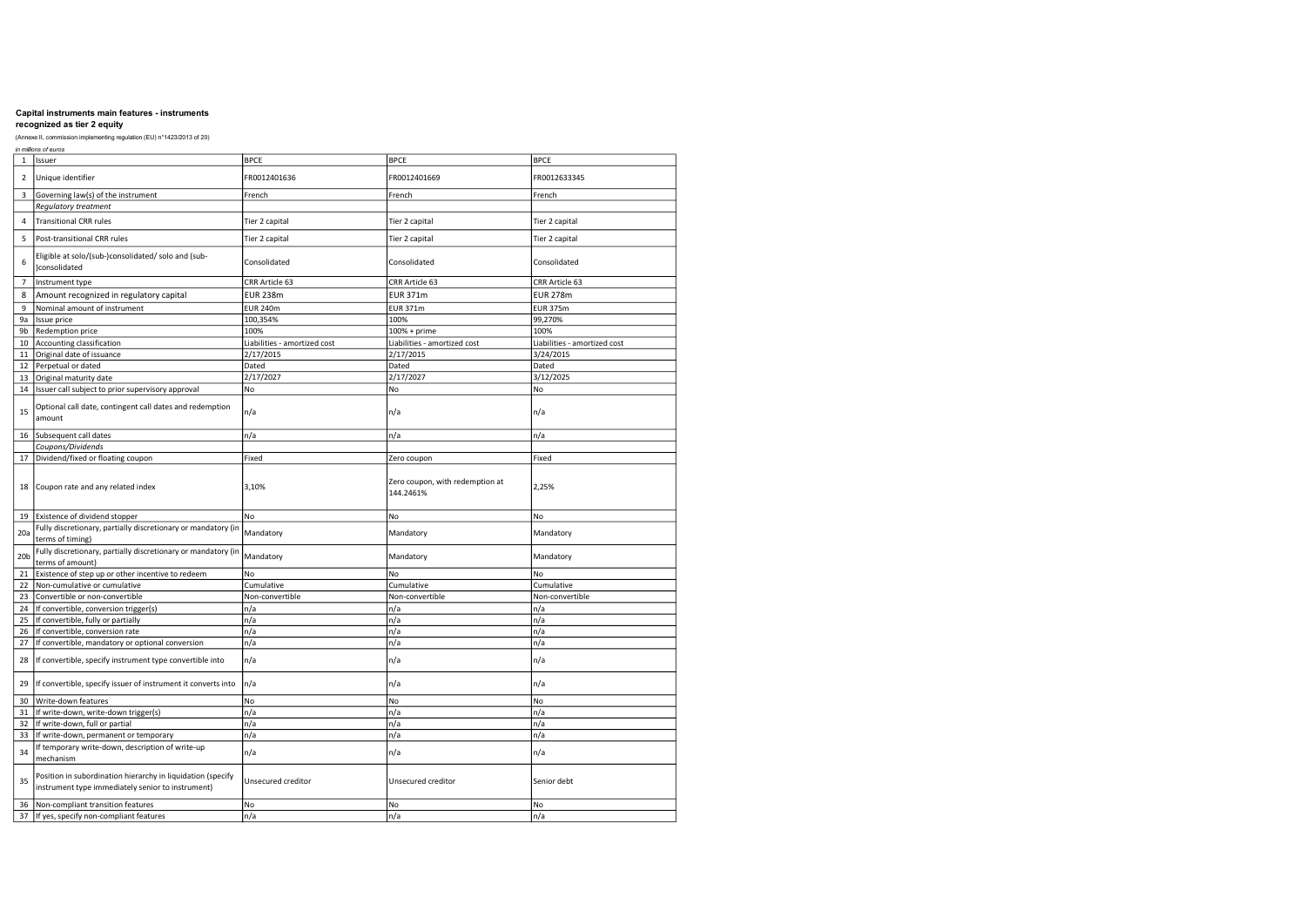### (Annexe II, commission implementing regulation (EU) n°1423/2013 of 20) in millions of euros

|                 | in millions of euros                                                                                             |                              |                                              |                              |
|-----------------|------------------------------------------------------------------------------------------------------------------|------------------------------|----------------------------------------------|------------------------------|
| $\mathbf 1$     | Issuer                                                                                                           | <b>BPCE</b>                  | <b>BPCE</b>                                  | <b>BPCE</b>                  |
| $\overline{2}$  | Unique identifier                                                                                                | FR0012401636                 | FR0012401669                                 | FR0012633345                 |
| 3               | Governing law(s) of the instrument                                                                               | French                       | French                                       | French                       |
|                 | Regulatory treatment                                                                                             |                              |                                              |                              |
| $\overline{4}$  | <b>Transitional CRR rules</b>                                                                                    | Tier 2 capital               | Tier 2 capital                               | Tier 2 capital               |
| 5               | Post-transitional CRR rules                                                                                      | Tier 2 capital               | Tier 2 capital                               | Tier 2 capital               |
| 6               | Eligible at solo/(sub-)consolidated/ solo and (sub-<br>)consolidated                                             | Consolidated                 | Consolidated                                 | Consolidated                 |
| $\overline{7}$  | Instrument type                                                                                                  | CRR Article 63               | CRR Article 63                               | CRR Article 63               |
| 8               | Amount recognized in regulatory capital                                                                          | <b>EUR 238m</b>              | <b>EUR 371m</b>                              | <b>EUR 278m</b>              |
| 9               | Nominal amount of instrument                                                                                     | <b>EUR 240m</b>              | <b>EUR 371m</b>                              | <b>EUR 375m</b>              |
| 9a              | Issue price                                                                                                      | 100,354%                     | 100%                                         | 99,270%                      |
| 9b              | Redemption price                                                                                                 | 100%                         | 100% + prime                                 | 100%                         |
| 10              | Accounting classification                                                                                        | Liabilities - amortized cost | Liabilities - amortized cost                 | Liabilities - amortized cost |
| 11              | Original date of issuance                                                                                        | 2/17/2015                    | 2/17/2015                                    | 3/24/2015                    |
| 12              | Perpetual or dated                                                                                               | Dated                        | Dated                                        | Dated                        |
| 13              | Original maturity date                                                                                           | 2/17/2027                    | 2/17/2027                                    | 3/12/2025                    |
| 14              | Issuer call subject to prior supervisory approval                                                                | No                           | No                                           | No                           |
| 15              | Optional call date, contingent call dates and redemption<br>amount                                               | n/a                          | n/a                                          | n/a                          |
| 16              | Subsequent call dates                                                                                            | n/a                          | n/a                                          | n/a                          |
|                 | Coupons/Dividends                                                                                                |                              |                                              |                              |
| 17              | Dividend/fixed or floating coupon                                                                                | Fixed                        | Zero coupon                                  | Fixed                        |
| 18              | Coupon rate and any related index                                                                                | 3,10%                        | Zero coupon, with redemption at<br>144.2461% | 2,25%                        |
| 19              | Existence of dividend stopper                                                                                    | <b>No</b>                    | No                                           | No                           |
| 20a             | Fully discretionary, partially discretionary or mandatory (in<br>terms of timing)                                | Mandatory                    | Mandatory                                    | Mandatory                    |
| 20 <sub>b</sub> | Fully discretionary, partially discretionary or mandatory (in<br>terms of amount)                                | Mandatory                    | Mandatory                                    | Mandatory                    |
| 21              | Existence of step up or other incentive to redeem                                                                | No                           | No                                           | No                           |
| 22              | Non-cumulative or cumulative                                                                                     | Cumulative                   | Cumulative                                   | Cumulative                   |
| 23              | Convertible or non-convertible                                                                                   | Non-convertible              | Non-convertible                              | Non-convertible              |
| 24              | If convertible, conversion trigger(s)                                                                            | n/a                          | n/a                                          | n/a                          |
| 25              | If convertible, fully or partially                                                                               | n/a                          | n/a                                          | n/a                          |
| 26              | If convertible, conversion rate                                                                                  | n/a                          | n/a                                          | n/a                          |
| 27              | If convertible, mandatory or optional conversion                                                                 | n/a                          | n/a                                          | n/a                          |
| 28              | If convertible, specify instrument type convertible into                                                         | n/a                          | n/a                                          | n/a                          |
| 29              | If convertible, specify issuer of instrument it converts into                                                    | n/a                          | n/a                                          | n/a                          |
| 30              | Write-down features                                                                                              | No                           | No                                           | No                           |
| 31              | If write-down, write-down trigger(s)                                                                             | n/a                          | n/a                                          | n/a                          |
| 32              | If write-down, full or partial                                                                                   | n/a                          | n/a                                          | n/a                          |
| 33              | If write-down, permanent or temporary                                                                            | n/a                          | n/a                                          | n/a                          |
| 34              | If temporary write-down, description of write-up<br>mechanism                                                    | n/a                          | n/a                                          | n/a                          |
| 35              | Position in subordination hierarchy in liquidation (specify<br>instrument type immediately senior to instrument) | Unsecured creditor           | Unsecured creditor                           | Senior debt                  |
| 36              | Non-compliant transition features                                                                                | No                           | No                                           | No                           |
| 37              | If yes, specify non-compliant features                                                                           | n/a                          | n/a                                          | n/a                          |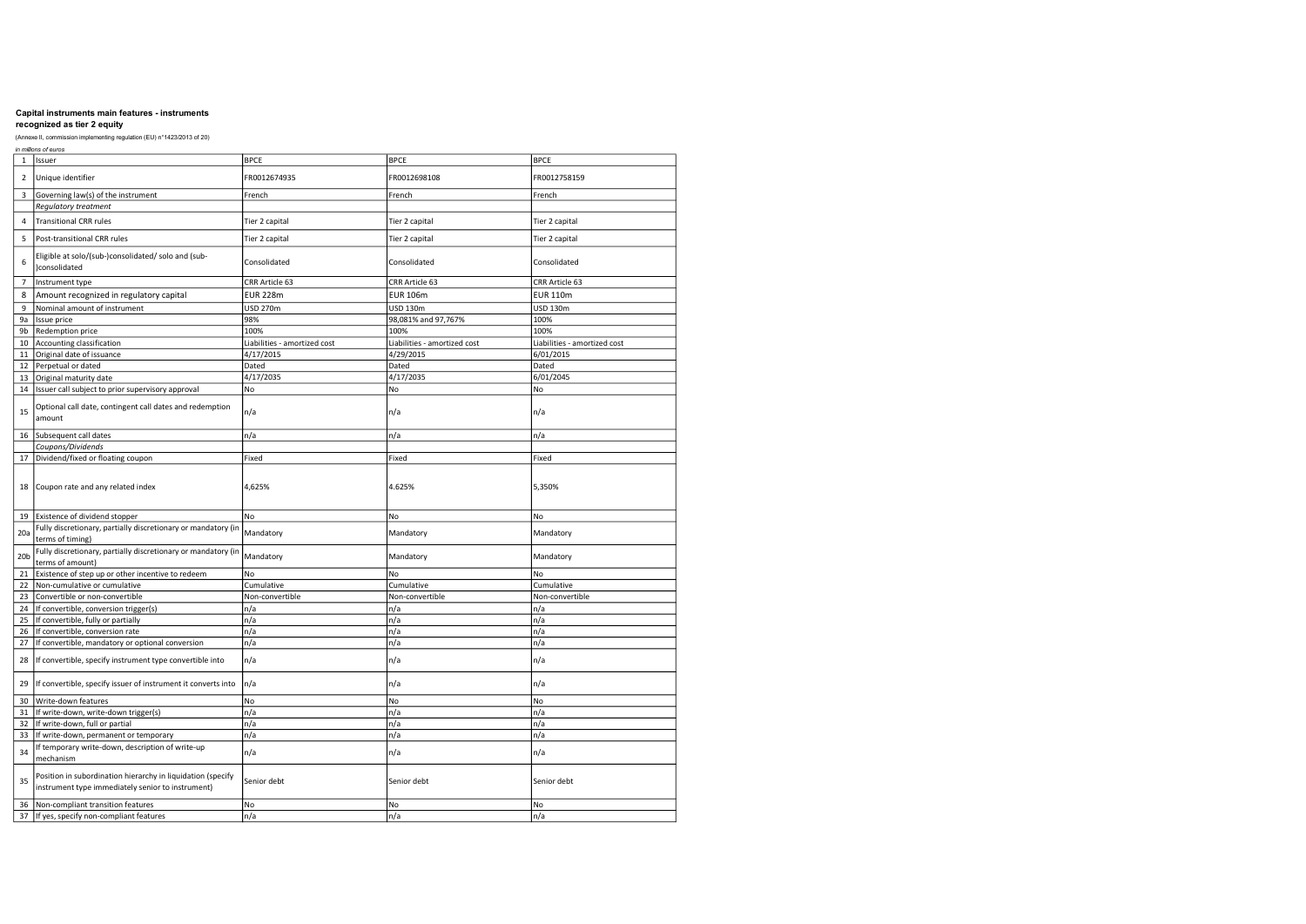|                 | in millions of euros                                                                                             |                              |                              |                              |
|-----------------|------------------------------------------------------------------------------------------------------------------|------------------------------|------------------------------|------------------------------|
| $\,1$           | Issuer                                                                                                           | <b>BPCE</b>                  | <b>BPCE</b>                  | <b>BPCE</b>                  |
| $\overline{2}$  | Unique identifier                                                                                                | FR0012674935                 | FR0012698108                 | FR0012758159                 |
| 3               | Governing law(s) of the instrument                                                                               | French                       | French                       | French                       |
|                 | Regulatory treatment                                                                                             |                              |                              |                              |
| $\overline{4}$  | <b>Transitional CRR rules</b>                                                                                    | Tier 2 capital               | Tier 2 capital               | Tier 2 capital               |
| 5               | Post-transitional CRR rules                                                                                      | Tier 2 capital               | Tier 2 capital               | Tier 2 capital               |
| 6               | Eligible at solo/(sub-)consolidated/ solo and (sub-<br>)consolidated                                             | Consolidated                 | Consolidated                 | Consolidated                 |
| $\overline{7}$  | Instrument type                                                                                                  | CRR Article 63               | CRR Article 63               | CRR Article 63               |
| 8               | Amount recognized in regulatory capital                                                                          | <b>EUR 228m</b>              | <b>EUR 106m</b>              | <b>EUR 110m</b>              |
| 9               | Nominal amount of instrument                                                                                     | USD 270m                     | USD 130m                     | USD 130m                     |
| 9a              | Issue price                                                                                                      | 98%                          | 98,081% and 97,767%          | 100%                         |
| 9b              | Redemption price                                                                                                 | 100%                         | 100%                         | 100%                         |
| 10              | Accounting classification                                                                                        | Liabilities - amortized cost | Liabilities - amortized cost | Liabilities - amortized cost |
| 11              | Original date of issuance                                                                                        | 4/17/2015                    | 4/29/2015                    | 6/01/2015                    |
| 12              | Perpetual or dated                                                                                               | Dated                        | Dated                        | Dated                        |
| 13              | Original maturity date                                                                                           | 4/17/2035                    | 4/17/2035                    | 6/01/2045                    |
| 14              | Issuer call subject to prior supervisory approval                                                                | No                           | No                           | No                           |
| 15              | Optional call date, contingent call dates and redemption<br>amount                                               | n/a                          | n/a                          | n/a                          |
| 16              | Subsequent call dates                                                                                            | n/a                          | n/a                          | n/a                          |
|                 | Coupons/Dividends                                                                                                |                              |                              |                              |
| 17              | Dividend/fixed or floating coupon                                                                                | Fixed                        | Fixed                        | Fixed                        |
| 18              | Coupon rate and any related index                                                                                | 4,625%                       | 4.625%                       | 5,350%                       |
| 19              | Existence of dividend stopper                                                                                    | No                           | No                           | No                           |
| 20a             | Fully discretionary, partially discretionary or mandatory (in<br>terms of timing)                                | Mandatory                    | Mandatory                    | Mandatory                    |
| 20 <sub>b</sub> | Fully discretionary, partially discretionary or mandatory (in<br>terms of amount)                                | Mandatory                    | Mandatory                    | Mandatory                    |
| 21              | Existence of step up or other incentive to redeem                                                                | N <sub>o</sub>               | No                           | No                           |
| 22              | Non-cumulative or cumulative                                                                                     | Cumulative                   | Cumulative                   | Cumulative                   |
| 23              | Convertible or non-convertible                                                                                   | Non-convertible              | Non-convertible              | Non-convertible              |
| 24              | If convertible, conversion trigger(s)                                                                            | n/a                          | n/a                          | n/a                          |
| 25              | If convertible, fully or partially                                                                               | n/a                          | n/a                          | n/a                          |
| 26              | If convertible, conversion rate                                                                                  | n/a                          | n/a                          | n/a                          |
| 27              | If convertible, mandatory or optional conversion                                                                 | n/a                          | n/a                          | n/a                          |
| 28              | If convertible, specify instrument type convertible into                                                         | n/a                          | n/a                          | n/a                          |
| 29              | If convertible, specify issuer of instrument it converts into                                                    | n/a                          | n/a                          | n/a                          |
| 30              | Write-down features                                                                                              | No                           | No                           | No                           |
| 31              | If write-down, write-down trigger(s)                                                                             | n/a                          | n/a                          | n/a                          |
| 32              | If write-down, full or partial                                                                                   | n/a                          | n/a                          | n/a                          |
| 33              | If write-down, permanent or temporary                                                                            | n/a                          | n/a                          | n/a                          |
| 34              | If temporary write-down, description of write-up<br>mechanism                                                    | n/a                          | n/a                          | n/a                          |
| 35              | Position in subordination hierarchy in liquidation (specify<br>instrument type immediately senior to instrument) | Senior debt                  | Senior debt                  | Senior debt                  |
| 36              | Non-compliant transition features                                                                                | No                           | No                           | No                           |
| 37              | If yes, specify non-compliant features                                                                           | n/a                          | n/a                          | n/a                          |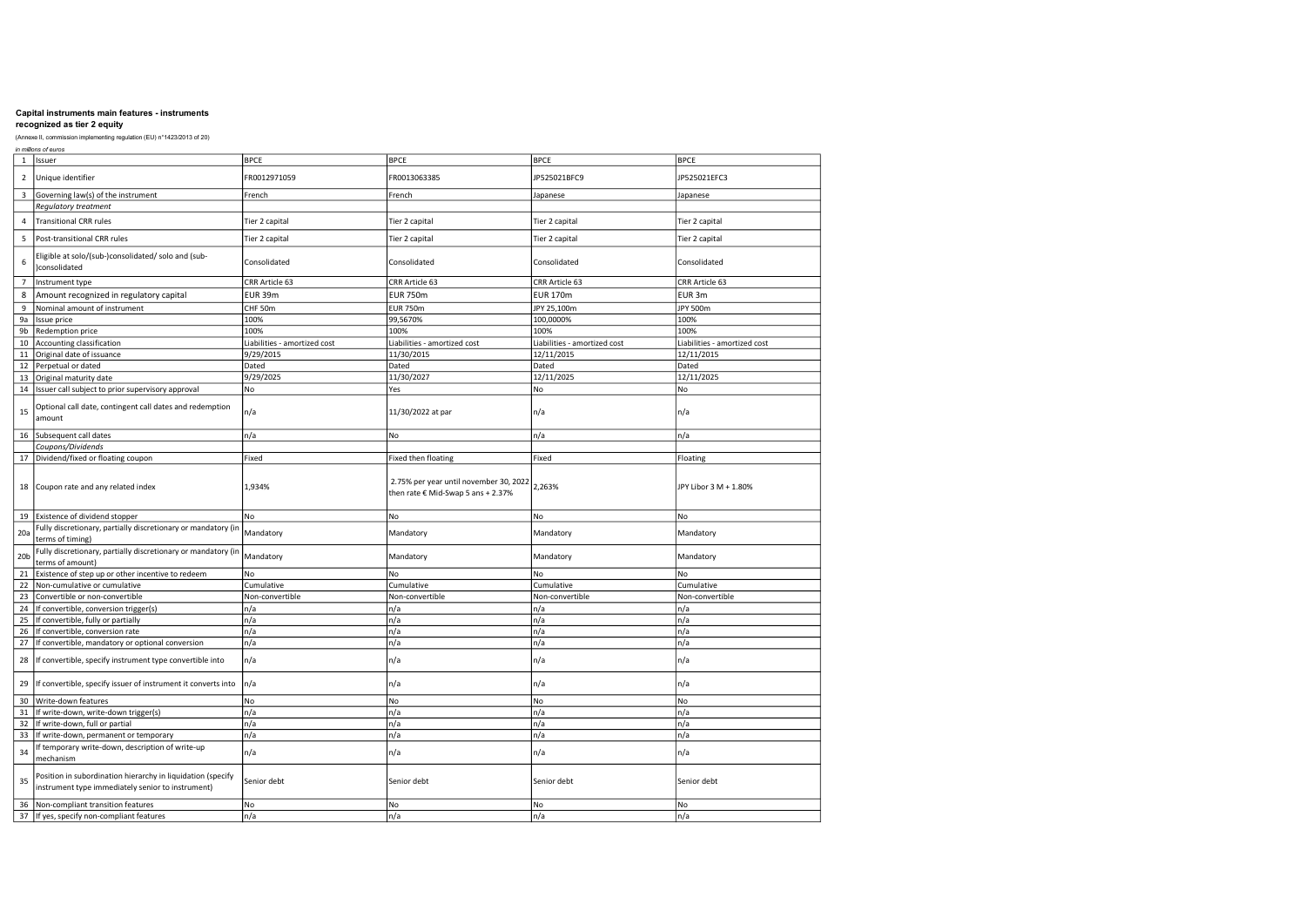## recognized as tier 2 equity

|                         | in millions of euros                                                                                             |                              |                                                                              |                              |                              |
|-------------------------|------------------------------------------------------------------------------------------------------------------|------------------------------|------------------------------------------------------------------------------|------------------------------|------------------------------|
| $\mathbf{1}$            | Issuer                                                                                                           | <b>BPCE</b>                  | <b>BPCE</b>                                                                  | <b>BPCE</b>                  | <b>BPCE</b>                  |
| $\overline{2}$          | Unique identifier                                                                                                | FR0012971059                 | FR0013063385                                                                 | JP525021BFC9                 | JP525021EFC3                 |
| $\overline{\mathbf{3}}$ | Governing law(s) of the instrument                                                                               | French                       | French                                                                       | Japanese                     | Japanese                     |
|                         | Regulatory treatment                                                                                             |                              |                                                                              |                              |                              |
| $\overline{4}$          | <b>Transitional CRR rules</b>                                                                                    | Tier 2 capital               | Tier 2 capital                                                               | Tier 2 capital               | Tier 2 capital               |
| 5                       | Post-transitional CRR rules                                                                                      | Tier 2 capital               | Tier 2 capital                                                               | Tier 2 capital               | Tier 2 capital               |
| 6                       | Eligible at solo/(sub-)consolidated/ solo and (sub-<br>consolidated                                              | Consolidated                 | Consolidated                                                                 | Consolidated                 | Consolidated                 |
| $\overline{7}$          | Instrument type                                                                                                  | CRR Article 63               | CRR Article 63                                                               | CRR Article 63               | CRR Article 63               |
| 8                       | Amount recognized in regulatory capital                                                                          | EUR 39m                      | <b>EUR 750m</b>                                                              | <b>EUR 170m</b>              | EUR 3m                       |
| 9                       | Nominal amount of instrument                                                                                     | CHF 50m                      | <b>EUR 750m</b>                                                              | JPY 25,100m                  | JPY 500m                     |
| 9a                      | Issue price                                                                                                      | 100%                         | 99,5670%                                                                     | 100,0000%                    | 100%                         |
| 9b                      | Redemption price                                                                                                 | 100%                         | 100%                                                                         | 100%                         | 100%                         |
| 10                      | Accounting classification                                                                                        | Liabilities - amortized cost | Liabilities - amortized cost                                                 | Liabilities - amortized cost | Liabilities - amortized cost |
| 11                      | Original date of issuance                                                                                        | 9/29/2015                    | 11/30/2015                                                                   | 12/11/2015                   | 12/11/2015                   |
| 12                      | Perpetual or dated                                                                                               | Dated                        | Dated                                                                        | Dated                        | Dated                        |
| 13                      | Original maturity date                                                                                           | 9/29/2025                    | 11/30/2027                                                                   | 12/11/2025                   | 12/11/2025                   |
| 14                      | Issuer call subject to prior supervisory approval                                                                | No                           | Yes                                                                          | No                           | No                           |
| 15                      | Optional call date, contingent call dates and redemption<br>amount                                               | n/a                          | 11/30/2022 at par                                                            | n/a                          | n/a                          |
| 16                      | Subsequent call dates                                                                                            | n/a                          | No                                                                           | n/a                          | n/a                          |
|                         | Coupons/Dividends                                                                                                |                              |                                                                              |                              |                              |
| 17                      | Dividend/fixed or floating coupon                                                                                | Fixed                        | Fixed then floating                                                          | Fixed                        | Floating                     |
| 18                      | Coupon rate and any related index                                                                                | 1,934%                       | 2.75% per year until november 30, 2022<br>then rate € Mid-Swap 5 ans + 2.37% | 2,263%                       | JPY Libor 3 M + 1.80%        |
|                         | 19 Existence of dividend stopper                                                                                 | No                           | No                                                                           | No                           | No                           |
| 20a                     | Fully discretionary, partially discretionary or mandatory (in<br>terms of timing)                                | Mandatory                    | Mandatory                                                                    | Mandatory                    | Mandatory                    |
| 20 <sub>b</sub>         | Fully discretionary, partially discretionary or mandatory (in<br>terms of amount)                                | Mandatory                    | Mandatory                                                                    | Mandatory                    | Mandatory                    |
| 21                      | Existence of step up or other incentive to redeem                                                                | No                           | No                                                                           | No                           | No                           |
| 22                      | Non-cumulative or cumulative                                                                                     | Cumulative                   | Cumulative                                                                   | Cumulative                   | Cumulative                   |
| 23                      | Convertible or non-convertible                                                                                   | Non-convertible              | Non-convertible                                                              | Non-convertible              | Non-convertible              |
| 24                      | If convertible, conversion trigger(s)                                                                            | n/a                          | n/a                                                                          | n/a                          | n/a                          |
| 25                      | If convertible, fully or partially                                                                               | n/a                          | n/a                                                                          | n/a                          | n/a                          |
| 26                      | If convertible, conversion rate                                                                                  | n/a                          | n/a                                                                          | n/a                          | n/a                          |
| 27                      | If convertible, mandatory or optional conversion                                                                 | n/a                          | n/a                                                                          | n/a                          | n/a                          |
| 28                      | If convertible, specify instrument type convertible into                                                         | n/a                          | n/a                                                                          | n/a                          | n/a                          |
| 29                      | If convertible, specify issuer of instrument it converts into                                                    | n/a                          | n/a                                                                          | n/a                          | n/a                          |
| 30                      | Write-down features                                                                                              | No                           | No                                                                           | No                           | No                           |
| 31                      | If write-down, write-down trigger(s)                                                                             | n/a                          | n/a                                                                          | n/a                          | n/a                          |
| 32                      | If write-down, full or partial                                                                                   | n/a                          | n/a                                                                          | n/a                          | n/a                          |
| 33                      | If write-down, permanent or temporary                                                                            | n/a                          | n/a                                                                          | n/a                          | n/a                          |
| 34                      | If temporary write-down, description of write-up<br>mechanism                                                    | n/a                          | n/a                                                                          | n/a                          | n/a                          |
| 35                      | Position in subordination hierarchy in liquidation (specify<br>instrument type immediately senior to instrument) | Senior debt                  | Senior debt                                                                  | Senior debt                  | Senior debt                  |
| 36                      | Non-compliant transition features                                                                                | No                           | No                                                                           | No                           | No                           |
| 37                      | If yes, specify non-compliant features                                                                           | n/a                          | n/a                                                                          | n/a                          | n/a                          |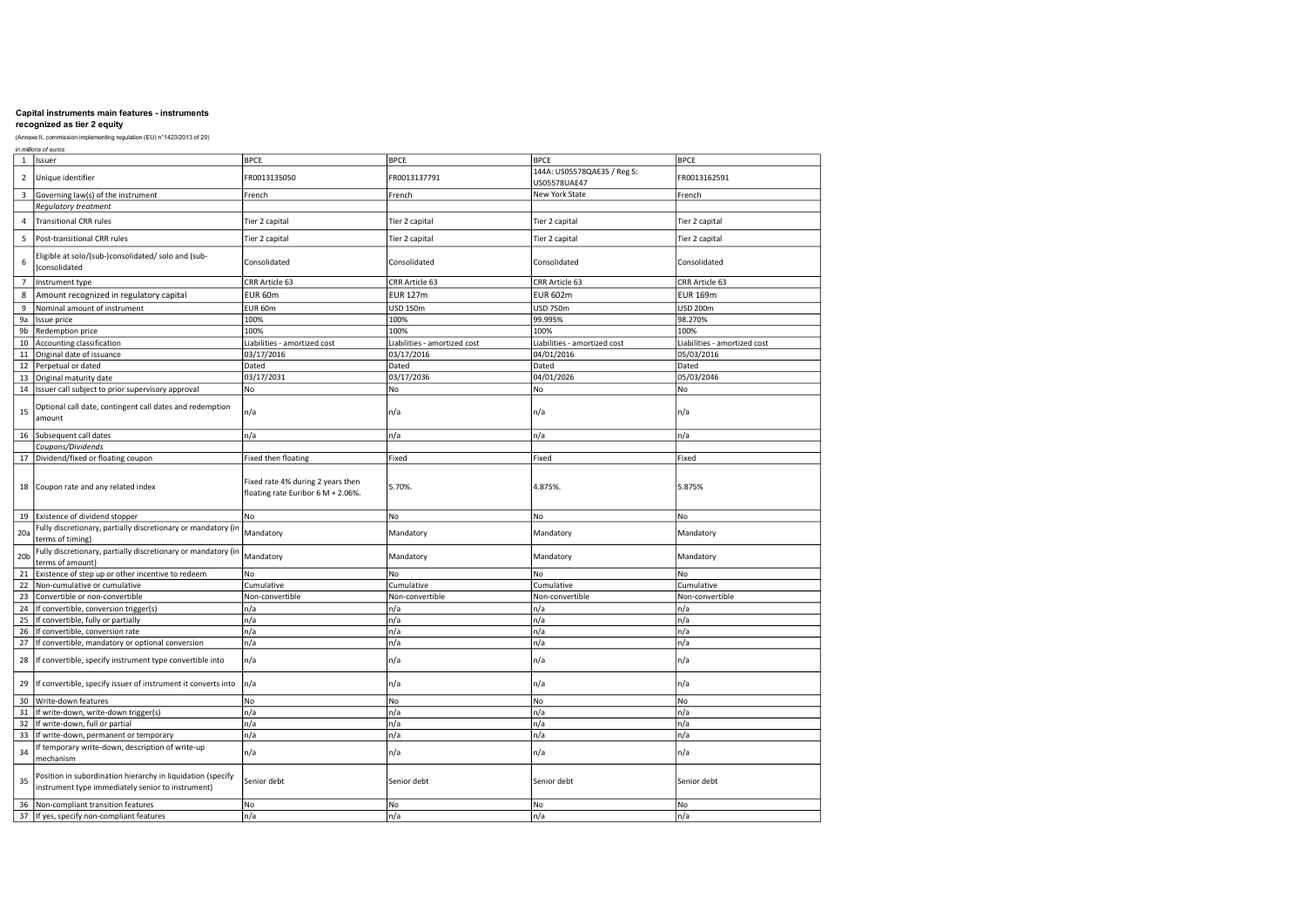|                 | in millions of euros                                                                                             |                                                                         |                              |                                             |                              |
|-----------------|------------------------------------------------------------------------------------------------------------------|-------------------------------------------------------------------------|------------------------------|---------------------------------------------|------------------------------|
| $\,1\,$         | Issuer                                                                                                           | <b>BPCE</b>                                                             | <b>BPCE</b>                  | <b>BPCE</b>                                 | <b>BPCE</b>                  |
| $\overline{2}$  | Unique identifier                                                                                                | FR0013135050                                                            | FR0013137791                 | 144A: US05578QAE35 / Reg S:<br>US05578UAE47 | FR0013162591                 |
| 3               | Governing law(s) of the instrument                                                                               | French                                                                  | French                       | New York State                              | French                       |
|                 | Regulatory treatment                                                                                             |                                                                         |                              |                                             |                              |
| $\overline{a}$  | <b>Transitional CRR rules</b>                                                                                    | Tier 2 capital                                                          | Tier 2 capital               | Tier 2 capital                              | Tier 2 capital               |
| 5               | Post-transitional CRR rules                                                                                      | Tier 2 capital                                                          | Tier 2 capital               | Tier 2 capital                              | Tier 2 capital               |
| 6               | Eligible at solo/(sub-)consolidated/ solo and (sub-<br>)consolidated                                             | Consolidated                                                            | Consolidated                 | Consolidated                                | Consolidated                 |
| $\overline{7}$  | Instrument type                                                                                                  | CRR Article 63                                                          | CRR Article 63               | CRR Article 63                              | CRR Article 63               |
| 8               | Amount recognized in regulatory capital                                                                          | EUR 60m                                                                 | <b>EUR 127m</b>              | <b>EUR 602m</b>                             | <b>EUR 169m</b>              |
| 9               | Nominal amount of instrument                                                                                     | EUR 60m                                                                 | <b>USD 150m</b>              | <b>USD 750m</b>                             | <b>USD 200m</b>              |
| 9a              | Issue price                                                                                                      | 100%                                                                    | 100%                         | 99.995%                                     | 98.270%                      |
| 9b              | Redemption price                                                                                                 | 100%                                                                    | 100%                         | 100%                                        | 100%                         |
| 10              | Accounting classification                                                                                        | Liabilities - amortized cost                                            | Liabilities - amortized cost | Liabilities - amortized cost                | Liabilities - amortized cost |
| 11              | Original date of issuance                                                                                        | 03/17/2016                                                              | 03/17/2016                   | 04/01/2016                                  | 05/03/2016                   |
| 12              | Perpetual or dated                                                                                               | Dated                                                                   | Dated                        | Dated                                       | Dated                        |
| 13              | Original maturity date                                                                                           | 03/17/2031                                                              | 03/17/2036                   | 04/01/2026                                  | 05/03/2046                   |
| 14              | Issuer call subject to prior supervisory approval                                                                | No                                                                      | No                           | No                                          | No                           |
|                 |                                                                                                                  |                                                                         |                              |                                             |                              |
| 15              | Optional call date, contingent call dates and redemption<br>amount                                               | n/a                                                                     | n/a                          | n/a                                         | n/a                          |
|                 | 16 Subsequent call dates                                                                                         | n/a                                                                     | n/a                          | n/a                                         | n/a                          |
|                 | Coupons/Dividends                                                                                                |                                                                         |                              |                                             |                              |
|                 | 17 Dividend/fixed or floating coupon                                                                             | <b>Fixed then floating</b>                                              | Fixed                        | Fixed                                       | Fixed                        |
| 18              | Coupon rate and any related index                                                                                | Fixed rate 4% during 2 years then<br>floating rate Euribor 6 M + 2.06%. | 5.70%                        | 4.875%                                      | 5.875%                       |
| 19              | Existence of dividend stopper                                                                                    | No                                                                      | No                           | No                                          | No                           |
| 20a             | Fully discretionary, partially discretionary or mandatory (in<br>terms of timing)                                | Mandatory                                                               | Mandatory                    | Mandatory                                   | Mandatory                    |
| 20 <sub>b</sub> | Fully discretionary, partially discretionary or mandatory (in<br>terms of amount)                                | Mandatory                                                               | Mandatory                    | Mandatory                                   | Mandatory                    |
| 21              | Existence of step up or other incentive to redeem                                                                | No                                                                      | No                           | No                                          | No                           |
| 22              | Non-cumulative or cumulative                                                                                     | Cumulative                                                              | Cumulative                   | Cumulative                                  | Cumulative                   |
| 23              | Convertible or non-convertible                                                                                   | Non-convertible                                                         | Non-convertible              | Non-convertible                             | Non-convertible              |
| 24              | If convertible, conversion trigger(s)                                                                            | n/a                                                                     | n/a                          | n/a                                         | n/a                          |
| 25              | If convertible, fully or partially                                                                               | n/a                                                                     | n/a                          | n/a                                         | n/a                          |
| 26              | If convertible, conversion rate                                                                                  | n/a                                                                     | n/a                          | n/a                                         | n/a                          |
| 27              | If convertible, mandatory or optional conversion                                                                 | n/a                                                                     | n/a                          | n/a                                         | n/a                          |
| 28              | If convertible, specify instrument type convertible into                                                         | n/a                                                                     | n/a                          | n/a                                         | n/a                          |
| 29              | If convertible, specify issuer of instrument it converts into                                                    | n/a                                                                     | n/a                          | n/a                                         | n/a                          |
| 30              | Write-down features                                                                                              | No                                                                      | No                           | No                                          | No                           |
| 31              | If write-down, write-down trigger(s)                                                                             | n/a                                                                     | n/a                          | n/a                                         | n/a                          |
| 32              | If write-down, full or partial                                                                                   | n/a                                                                     | n/a                          | n/a                                         | n/a                          |
| 33              | If write-down, permanent or temporary                                                                            | n/a                                                                     | n/a                          | n/a                                         | n/a                          |
| 34              | If temporary write-down, description of write-up<br>mechanism                                                    | n/a                                                                     | n/a                          | n/a                                         | n/a                          |
| 35              | Position in subordination hierarchy in liquidation (specify<br>instrument type immediately senior to instrument) | Senior debt                                                             | Senior debt                  | Senior debt                                 | Senior debt                  |
| 36              | Non-compliant transition features                                                                                | No                                                                      | No                           | No                                          | <b>No</b>                    |
|                 | 37 If yes, specify non-compliant features                                                                        | n/a                                                                     | n/a                          | n/a                                         | n/a                          |